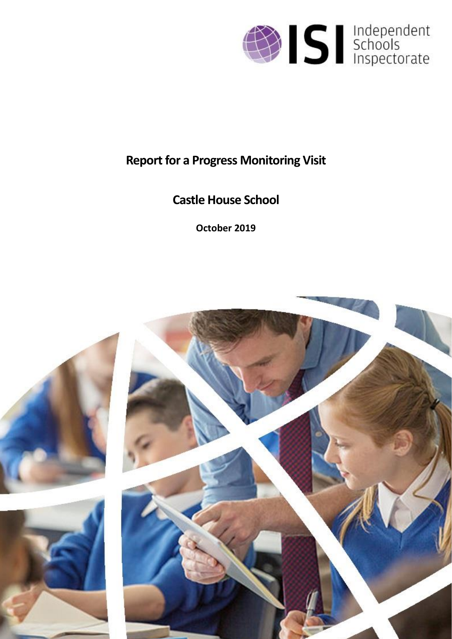

# **Report for a Progress Monitoring Visit**

# **Castle House School**

**October 2019**

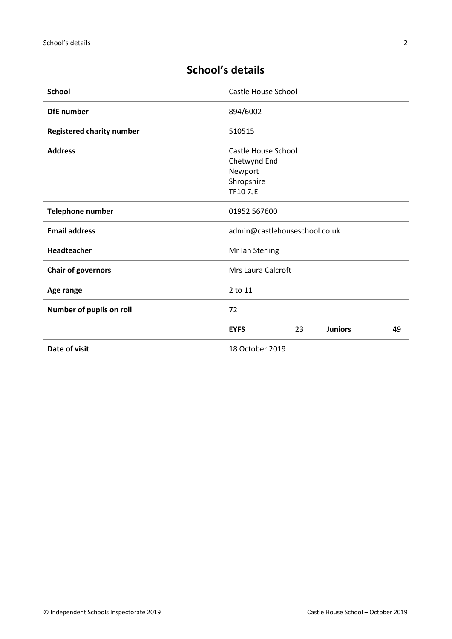| <b>School</b>                    | <b>Castle House School</b>                                                      |
|----------------------------------|---------------------------------------------------------------------------------|
| <b>DfE</b> number                | 894/6002                                                                        |
| <b>Registered charity number</b> | 510515                                                                          |
| <b>Address</b>                   | Castle House School<br>Chetwynd End<br>Newport<br>Shropshire<br><b>TF10 7JE</b> |
| <b>Telephone number</b>          | 01952 567600                                                                    |
| <b>Email address</b>             | admin@castlehouseschool.co.uk                                                   |
| Headteacher                      | Mr Ian Sterling                                                                 |
| <b>Chair of governors</b>        | <b>Mrs Laura Calcroft</b>                                                       |
| Age range                        | 2 to 11                                                                         |
| Number of pupils on roll         | 72                                                                              |
|                                  | <b>EYFS</b><br>23<br><b>Juniors</b><br>49                                       |
| Date of visit                    | 18 October 2019                                                                 |

# **School's details**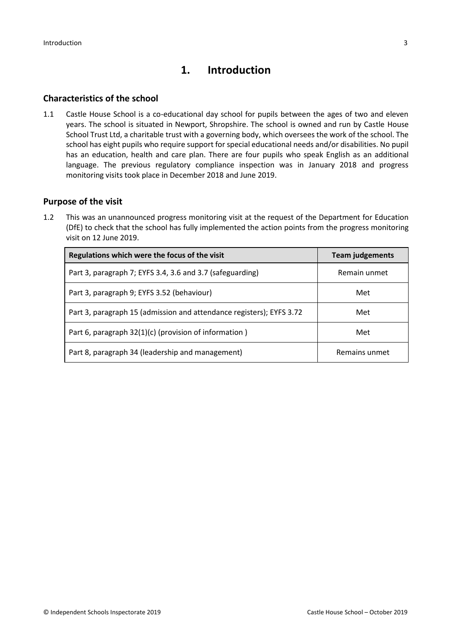# **1. Introduction**

## **Characteristics of the school**

1.1 Castle House School is a co-educational day school for pupils between the ages of two and eleven years. The school is situated in Newport, Shropshire. The school is owned and run by Castle House School Trust Ltd, a charitable trust with a governing body, which oversees the work of the school. The school has eight pupils who require support for special educational needs and/or disabilities. No pupil has an education, health and care plan. There are four pupils who speak English as an additional language. The previous regulatory compliance inspection was in January 2018 and progress monitoring visits took place in December 2018 and June 2019.

### **Purpose of the visit**

1.2 This was an unannounced progress monitoring visit at the request of the Department for Education (DfE) to check that the school has fully implemented the action points from the progress monitoring visit on 12 June 2019.

| Regulations which were the focus of the visit                        | <b>Team judgements</b> |
|----------------------------------------------------------------------|------------------------|
| Part 3, paragraph 7; EYFS 3.4, 3.6 and 3.7 (safeguarding)            | Remain unmet           |
| Part 3, paragraph 9; EYFS 3.52 (behaviour)                           | Met                    |
| Part 3, paragraph 15 (admission and attendance registers); EYFS 3.72 | Met                    |
| Part 6, paragraph 32(1)(c) (provision of information)                | Met                    |
| Part 8, paragraph 34 (leadership and management)                     | Remains unmet          |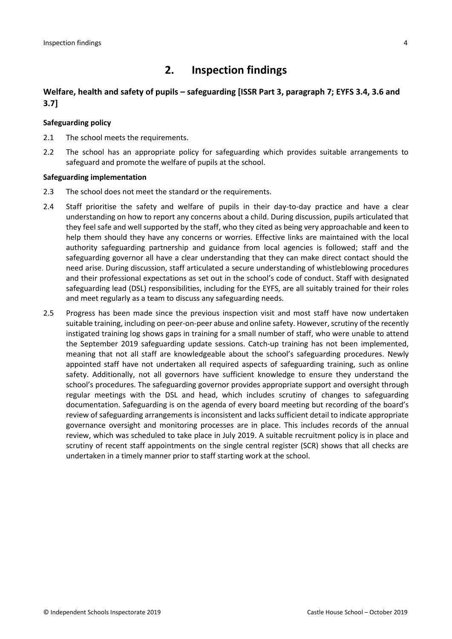# **2. Inspection findings**

## **Welfare, health and safety of pupils – safeguarding [ISSR Part 3, paragraph 7; EYFS 3.4, 3.6 and 3.7]**

#### **Safeguarding policy**

- 2.1 The school meets the requirements.
- 2.2 The school has an appropriate policy for safeguarding which provides suitable arrangements to safeguard and promote the welfare of pupils at the school.

#### **Safeguarding implementation**

- 2.3 The school does not meet the standard or the requirements.
- 2.4 Staff prioritise the safety and welfare of pupils in their day-to-day practice and have a clear understanding on how to report any concerns about a child. During discussion, pupils articulated that they feel safe and well supported by the staff, who they cited as being very approachable and keen to help them should they have any concerns or worries. Effective links are maintained with the local authority safeguarding partnership and guidance from local agencies is followed; staff and the safeguarding governor all have a clear understanding that they can make direct contact should the need arise. During discussion, staff articulated a secure understanding of whistleblowing procedures and their professional expectations as set out in the school's code of conduct. Staff with designated safeguarding lead (DSL) responsibilities, including for the EYFS, are all suitably trained for their roles and meet regularly as a team to discuss any safeguarding needs.
- 2.5 Progress has been made since the previous inspection visit and most staff have now undertaken suitable training, including on peer-on-peer abuse and online safety. However, scrutiny of the recently instigated training log shows gaps in training for a small number of staff, who were unable to attend the September 2019 safeguarding update sessions. Catch-up training has not been implemented, meaning that not all staff are knowledgeable about the school's safeguarding procedures. Newly appointed staff have not undertaken all required aspects of safeguarding training, such as online safety. Additionally, not all governors have sufficient knowledge to ensure they understand the school's procedures. The safeguarding governor provides appropriate support and oversight through regular meetings with the DSL and head, which includes scrutiny of changes to safeguarding documentation. Safeguarding is on the agenda of every board meeting but recording of the board's review of safeguarding arrangements is inconsistent and lacks sufficient detail to indicate appropriate governance oversight and monitoring processes are in place. This includes records of the annual review, which was scheduled to take place in July 2019. A suitable recruitment policy is in place and scrutiny of recent staff appointments on the single central register (SCR) shows that all checks are undertaken in a timely manner prior to staff starting work at the school.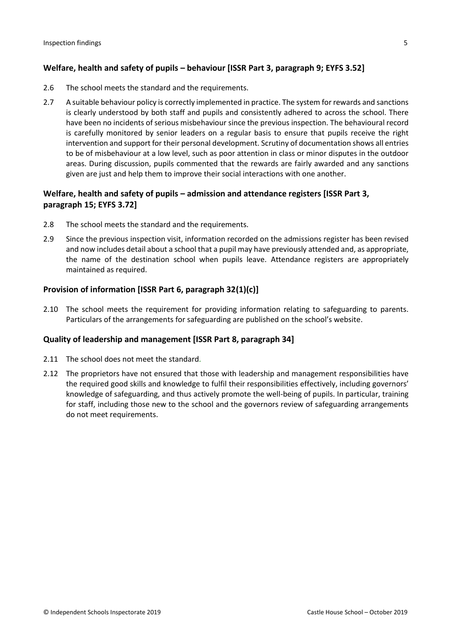## **Welfare, health and safety of pupils – behaviour [ISSR Part 3, paragraph 9; EYFS 3.52]**

- 2.6 The school meets the standard and the requirements.
- 2.7 A suitable behaviour policy is correctly implemented in practice. The system for rewards and sanctions is clearly understood by both staff and pupils and consistently adhered to across the school. There have been no incidents of serious misbehaviour since the previous inspection. The behavioural record is carefully monitored by senior leaders on a regular basis to ensure that pupils receive the right intervention and support for their personal development. Scrutiny of documentation shows all entries to be of misbehaviour at a low level, such as poor attention in class or minor disputes in the outdoor areas. During discussion, pupils commented that the rewards are fairly awarded and any sanctions given are just and help them to improve their social interactions with one another.

## **Welfare, health and safety of pupils – admission and attendance registers [ISSR Part 3, paragraph 15; EYFS 3.72]**

- 2.8 The school meets the standard and the requirements.
- 2.9 Since the previous inspection visit, information recorded on the admissions register has been revised and now includes detail about a school that a pupil may have previously attended and, as appropriate, the name of the destination school when pupils leave. Attendance registers are appropriately maintained as required.

### **Provision of information [ISSR Part 6, paragraph 32(1)(c)]**

2.10 The school meets the requirement for providing information relating to safeguarding to parents. Particulars of the arrangements for safeguarding are published on the school's website.

#### **Quality of leadership and management [ISSR Part 8, paragraph 34]**

- 2.11 The school does not meet the standard.
- 2.12 The proprietors have not ensured that those with leadership and management responsibilities have the required good skills and knowledge to fulfil their responsibilities effectively, including governors' knowledge of safeguarding, and thus actively promote the well-being of pupils. In particular, training for staff, including those new to the school and the governors review of safeguarding arrangements do not meet requirements.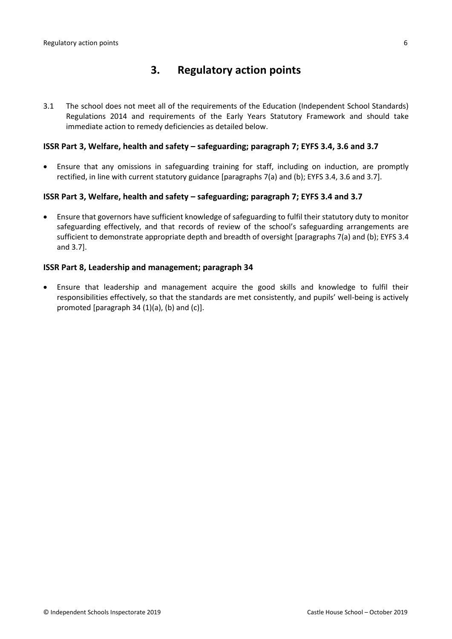# **3. Regulatory action points**

3.1 The school does not meet all of the requirements of the Education (Independent School Standards) Regulations 2014 and requirements of the Early Years Statutory Framework and should take immediate action to remedy deficiencies as detailed below.

#### **ISSR Part 3, Welfare, health and safety – safeguarding; paragraph 7; EYFS 3.4, 3.6 and 3.7**

 Ensure that any omissions in safeguarding training for staff, including on induction, are promptly rectified, in line with current statutory guidance [paragraphs 7(a) and (b); EYFS 3.4, 3.6 and 3.7].

### **ISSR Part 3, Welfare, health and safety – safeguarding; paragraph 7; EYFS 3.4 and 3.7**

 Ensure that governors have sufficient knowledge of safeguarding to fulfil their statutory duty to monitor safeguarding effectively, and that records of review of the school's safeguarding arrangements are sufficient to demonstrate appropriate depth and breadth of oversight [paragraphs 7(a) and (b); EYFS 3.4 and 3.7].

#### **ISSR Part 8, Leadership and management; paragraph 34**

 Ensure that leadership and management acquire the good skills and knowledge to fulfil their responsibilities effectively, so that the standards are met consistently, and pupils' well-being is actively promoted [paragraph 34 (1)(a), (b) and (c)].